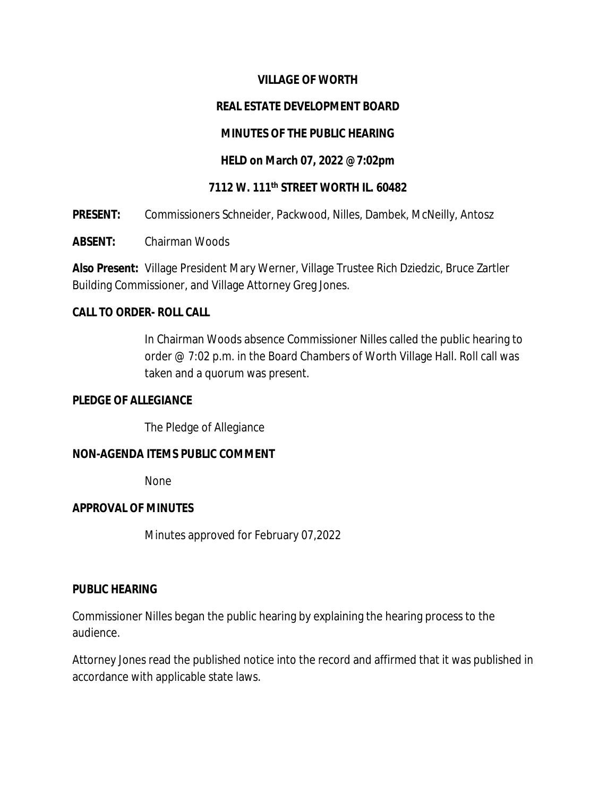### **VILLAGE OF WORTH**

### **REAL ESTATE DEVELOPMENT BOARD**

### **MINUTES OF THE PUBLIC HEARING**

### **HELD on March 07, 2022 @7:02pm**

### **7112 W. 111th STREET WORTH IL. 60482**

**PRESENT:** Commissioners Schneider, Packwood, Nilles, Dambek, McNeilly, Antosz

**ABSENT:** Chairman Woods

**Also Present:** Village President Mary Werner, Village Trustee Rich Dziedzic, Bruce Zartler Building Commissioner, and Village Attorney Greg Jones.

### **CALL TO ORDER- ROLL CALL**

In Chairman Woods absence Commissioner Nilles called the public hearing to order @ 7:02 p.m. in the Board Chambers of Worth Village Hall. Roll call was taken and a quorum was present.

#### **PLEDGE OF ALLEGIANCE**

The Pledge of Allegiance

### **NON-AGENDA ITEMS PUBLIC COMMENT**

None

#### **APPROVAL OF MINUTES**

Minutes approved for February 07,2022

#### **PUBLIC HEARING**

Commissioner Nilles began the public hearing by explaining the hearing process to the audience.

Attorney Jones read the published notice into the record and affirmed that it was published in accordance with applicable state laws.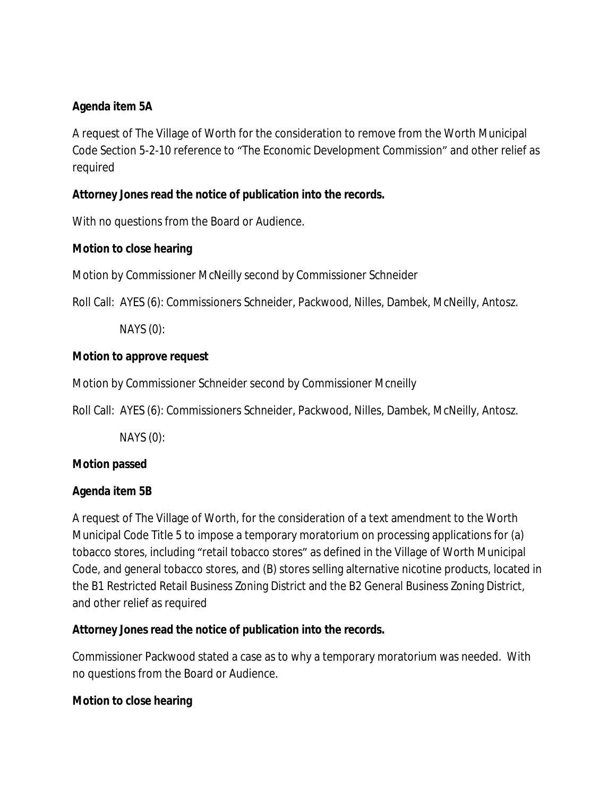## **Agenda item 5A**

A request of The Village of Worth for the consideration to remove from the Worth Municipal Code Section 5-2-10 reference to "The Economic Development Commission" and other relief as required

## **Attorney Jones read the notice of publication into the records.**

With no questions from the Board or Audience.

## **Motion to close hearing**

Motion by Commissioner McNeilly second by Commissioner Schneider

Roll Call: AYES (6): Commissioners Schneider, Packwood, Nilles, Dambek, McNeilly, Antosz.

NAYS (0):

## **Motion to approve request**

Motion by Commissioner Schneider second by Commissioner Mcneilly

Roll Call: AYES (6): Commissioners Schneider, Packwood, Nilles, Dambek, McNeilly, Antosz.

NAYS (0):

# **Motion passed**

# **Agenda item 5B**

A request of The Village of Worth, for the consideration of a text amendment to the Worth Municipal Code Title 5 to impose a temporary moratorium on processing applications for (a) tobacco stores, including "retail tobacco stores" as defined in the Village of Worth Municipal Code, and general tobacco stores, and (B) stores selling alternative nicotine products, located in the B1 Restricted Retail Business Zoning District and the B2 General Business Zoning District, and other relief as required

# **Attorney Jones read the notice of publication into the records.**

Commissioner Packwood stated a case as to why a temporary moratorium was needed. With no questions from the Board or Audience.

## **Motion to close hearing**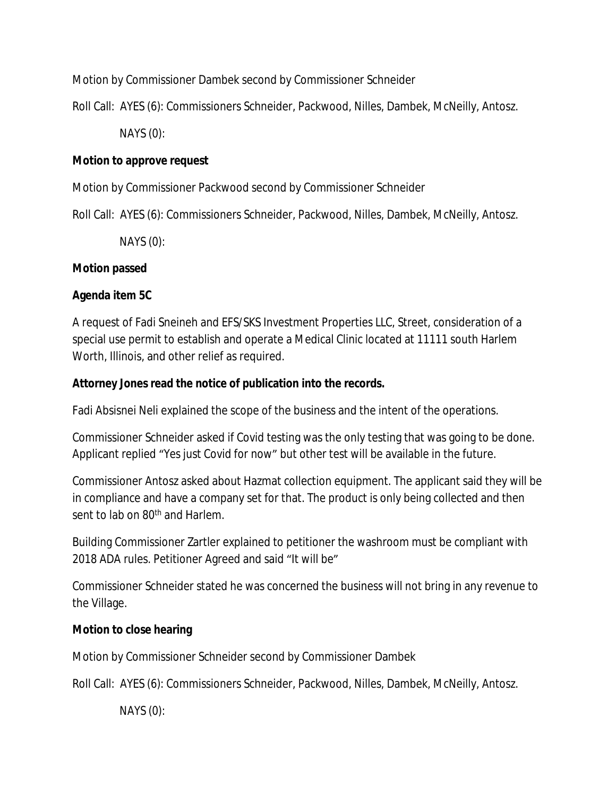Motion by Commissioner Dambek second by Commissioner Schneider

Roll Call: AYES (6): Commissioners Schneider, Packwood, Nilles, Dambek, McNeilly, Antosz.

NAYS (0):

## **Motion to approve request**

Motion by Commissioner Packwood second by Commissioner Schneider

Roll Call: AYES (6): Commissioners Schneider, Packwood, Nilles, Dambek, McNeilly, Antosz.

NAYS (0):

## **Motion passed**

# **Agenda item 5C**

A request of Fadi Sneineh and EFS/SKS Investment Properties LLC, Street, consideration of a special use permit to establish and operate a Medical Clinic located at 11111 south Harlem Worth, Illinois, and other relief as required.

## **Attorney Jones read the notice of publication into the records.**

Fadi Absisnei Neli explained the scope of the business and the intent of the operations.

Commissioner Schneider asked if Covid testing was the only testing that was going to be done. Applicant replied "Yes just Covid for now" but other test will be available in the future.

Commissioner Antosz asked about Hazmat collection equipment. The applicant said they will be in compliance and have a company set for that. The product is only being collected and then sent to lab on 80<sup>th</sup> and Harlem.

Building Commissioner Zartler explained to petitioner the washroom must be compliant with 2018 ADA rules. Petitioner Agreed and said "It will be"

Commissioner Schneider stated he was concerned the business will not bring in any revenue to the Village.

# **Motion to close hearing**

Motion by Commissioner Schneider second by Commissioner Dambek

Roll Call: AYES (6): Commissioners Schneider, Packwood, Nilles, Dambek, McNeilly, Antosz.

NAYS (0):